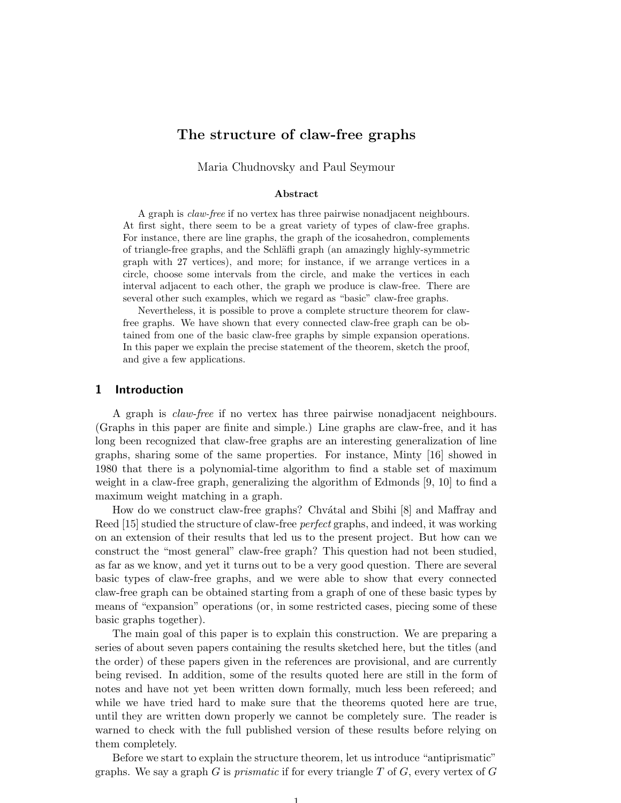# The structure of claw-free graphs

Maria Chudnovsky and Paul Seymour

#### Abstract

A graph is claw-free if no vertex has three pairwise nonadjacent neighbours. At first sight, there seem to be a great variety of types of claw-free graphs. For instance, there are line graphs, the graph of the icosahedron, complements of triangle-free graphs, and the Schläfli graph (an amazingly highly-symmetric graph with 27 vertices), and more; for instance, if we arrange vertices in a circle, choose some intervals from the circle, and make the vertices in each interval adjacent to each other, the graph we produce is claw-free. There are several other such examples, which we regard as "basic" claw-free graphs.

Nevertheless, it is possible to prove a complete structure theorem for clawfree graphs. We have shown that every connected claw-free graph can be obtained from one of the basic claw-free graphs by simple expansion operations. In this paper we explain the precise statement of the theorem, sketch the proof, and give a few applications.

## 1 Introduction

A graph is claw-free if no vertex has three pairwise nonadjacent neighbours. (Graphs in this paper are finite and simple.) Line graphs are claw-free, and it has long been recognized that claw-free graphs are an interesting generalization of line graphs, sharing some of the same properties. For instance, Minty [16] showed in 1980 that there is a polynomial-time algorithm to find a stable set of maximum weight in a claw-free graph, generalizing the algorithm of Edmonds [9, 10] to find a maximum weight matching in a graph.

How do we construct claw-free graphs? Chvátal and Sbihi [8] and Maffray and Reed [15] studied the structure of claw-free *perfect* graphs, and indeed, it was working on an extension of their results that led us to the present project. But how can we construct the "most general" claw-free graph? This question had not been studied, as far as we know, and yet it turns out to be a very good question. There are several basic types of claw-free graphs, and we were able to show that every connected claw-free graph can be obtained starting from a graph of one of these basic types by means of "expansion" operations (or, in some restricted cases, piecing some of these basic graphs together).

The main goal of this paper is to explain this construction. We are preparing a series of about seven papers containing the results sketched here, but the titles (and the order) of these papers given in the references are provisional, and are currently being revised. In addition, some of the results quoted here are still in the form of notes and have not yet been written down formally, much less been refereed; and while we have tried hard to make sure that the theorems quoted here are true, until they are written down properly we cannot be completely sure. The reader is warned to check with the full published version of these results before relying on them completely.

Before we start to explain the structure theorem, let us introduce "antiprismatic" graphs. We say a graph G is *prismatic* if for every triangle T of  $G$ , every vertex of  $G$ 

1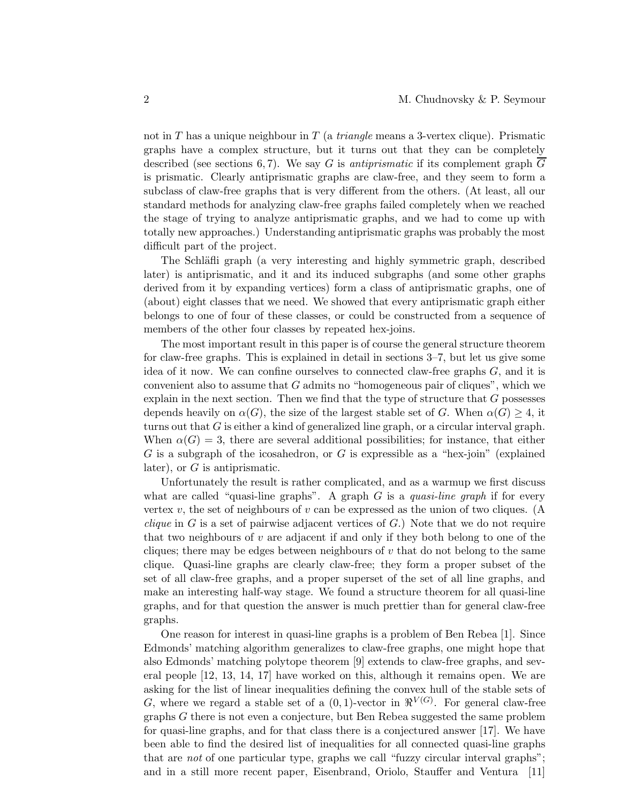not in T has a unique neighbour in T (a *triangle* means a 3-vertex clique). Prismatic graphs have a complex structure, but it turns out that they can be completely described (see sections 6, 7). We say G is *antiprismatic* if its complement graph  $G$ is prismatic. Clearly antiprismatic graphs are claw-free, and they seem to form a subclass of claw-free graphs that is very different from the others. (At least, all our standard methods for analyzing claw-free graphs failed completely when we reached the stage of trying to analyze antiprismatic graphs, and we had to come up with totally new approaches.) Understanding antiprismatic graphs was probably the most difficult part of the project.

The Schläfli graph (a very interesting and highly symmetric graph, described later) is antiprismatic, and it and its induced subgraphs (and some other graphs derived from it by expanding vertices) form a class of antiprismatic graphs, one of (about) eight classes that we need. We showed that every antiprismatic graph either belongs to one of four of these classes, or could be constructed from a sequence of members of the other four classes by repeated hex-joins.

The most important result in this paper is of course the general structure theorem for claw-free graphs. This is explained in detail in sections 3–7, but let us give some idea of it now. We can confine ourselves to connected claw-free graphs  $G$ , and it is convenient also to assume that  $G$  admits no "homogeneous pair of cliques", which we explain in the next section. Then we find that the type of structure that  $G$  possesses depends heavily on  $\alpha(G)$ , the size of the largest stable set of G. When  $\alpha(G) \geq 4$ , it turns out that  $G$  is either a kind of generalized line graph, or a circular interval graph. When  $\alpha(G) = 3$ , there are several additional possibilities; for instance, that either G is a subgraph of the icosahedron, or G is expressible as a "hex-join" (explained later), or G is antiprismatic.

Unfortunately the result is rather complicated, and as a warmup we first discuss what are called "quasi-line graphs". A graph  $G$  is a *quasi-line graph* if for every vertex v, the set of neighbours of v can be expressed as the union of two cliques. (A *clique* in G is a set of pairwise adjacent vertices of  $G$ .) Note that we do not require that two neighbours of  $v$  are adjacent if and only if they both belong to one of the cliques; there may be edges between neighbours of  $v$  that do not belong to the same clique. Quasi-line graphs are clearly claw-free; they form a proper subset of the set of all claw-free graphs, and a proper superset of the set of all line graphs, and make an interesting half-way stage. We found a structure theorem for all quasi-line graphs, and for that question the answer is much prettier than for general claw-free graphs.

One reason for interest in quasi-line graphs is a problem of Ben Rebea [1]. Since Edmonds' matching algorithm generalizes to claw-free graphs, one might hope that also Edmonds' matching polytope theorem [9] extends to claw-free graphs, and several people [12, 13, 14, 17] have worked on this, although it remains open. We are asking for the list of linear inequalities defining the convex hull of the stable sets of G, where we regard a stable set of a  $(0,1)$ -vector in  $\mathbb{R}^{V(G)}$ . For general claw-free graphs G there is not even a conjecture, but Ben Rebea suggested the same problem for quasi-line graphs, and for that class there is a conjectured answer [17]. We have been able to find the desired list of inequalities for all connected quasi-line graphs that are not of one particular type, graphs we call "fuzzy circular interval graphs"; and in a still more recent paper, Eisenbrand, Oriolo, Stauffer and Ventura [11]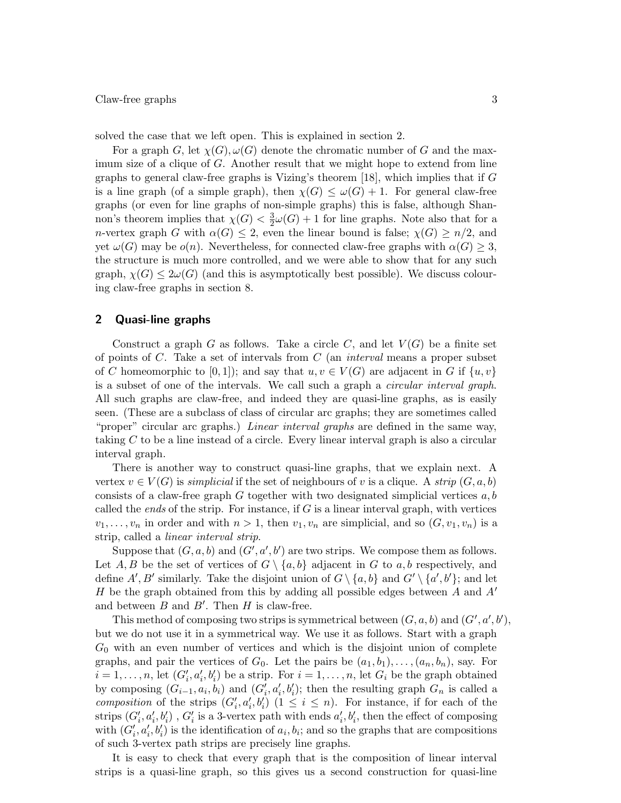solved the case that we left open. This is explained in section 2.

For a graph G, let  $\chi(G), \omega(G)$  denote the chromatic number of G and the maximum size of a clique of G. Another result that we might hope to extend from line graphs to general claw-free graphs is Vizing's theorem  $[18]$ , which implies that if G is a line graph (of a simple graph), then  $\chi(G) \leq \omega(G) + 1$ . For general claw-free graphs (or even for line graphs of non-simple graphs) this is false, although Shannon's theorem implies that  $\chi(G) < \frac{3}{2}$  $\frac{3}{2}\omega(G) + 1$  for line graphs. Note also that for a *n*-vertex graph G with  $\alpha(G) \leq 2$ , even the linear bound is false;  $\chi(G) \geq n/2$ , and yet  $\omega(G)$  may be  $o(n)$ . Nevertheless, for connected claw-free graphs with  $\alpha(G) \geq 3$ , the structure is much more controlled, and we were able to show that for any such graph,  $\chi(G) \leq 2\omega(G)$  (and this is asymptotically best possible). We discuss colouring claw-free graphs in section 8.

# 2 Quasi-line graphs

Construct a graph G as follows. Take a circle C, and let  $V(G)$  be a finite set of points of C. Take a set of intervals from  $C$  (an *interval* means a proper subset of C homeomorphic to [0,1]); and say that  $u, v \in V(G)$  are adjacent in G if  $\{u, v\}$ is a subset of one of the intervals. We call such a graph a *circular interval graph*. All such graphs are claw-free, and indeed they are quasi-line graphs, as is easily seen. (These are a subclass of class of circular arc graphs; they are sometimes called "proper" circular arc graphs.) Linear interval graphs are defined in the same way, taking  $C$  to be a line instead of a circle. Every linear interval graph is also a circular interval graph.

There is another way to construct quasi-line graphs, that we explain next. A vertex  $v \in V(G)$  is simplicial if the set of neighbours of v is a clique. A strip  $(G, a, b)$ consists of a claw-free graph  $G$  together with two designated simplicial vertices  $a, b$ called the *ends* of the strip. For instance, if  $G$  is a linear interval graph, with vertices  $v_1, \ldots, v_n$  in order and with  $n > 1$ , then  $v_1, v_n$  are simplicial, and so  $(G, v_1, v_n)$  is a strip, called a linear interval strip.

Suppose that  $(G, a, b)$  and  $(G', a', b')$  are two strips. We compose them as follows. Let A, B be the set of vertices of  $G \setminus \{a, b\}$  adjacent in G to a, b respectively, and define  $A', B'$  similarly. Take the disjoint union of  $G \setminus \{a, b\}$  and  $G' \setminus \{a', b'\}$ ; and let H be the graph obtained from this by adding all possible edges between A and  $A<sup>'</sup>$ and between  $B$  and  $B'$ . Then  $H$  is claw-free.

This method of composing two strips is symmetrical between  $(G, a, b)$  and  $(G', a', b')$ , but we do not use it in a symmetrical way. We use it as follows. Start with a graph  $G_0$  with an even number of vertices and which is the disjoint union of complete graphs, and pair the vertices of  $G_0$ . Let the pairs be  $(a_1, b_1), \ldots, (a_n, b_n)$ , say. For  $i = 1, \ldots, n$ , let  $(G'_i, a'_i, b'_i)$  be a strip. For  $i = 1, \ldots, n$ , let  $G_i$  be the graph obtained by composing  $(G_{i-1}, a_i, b_i)$  and  $(G_i', a_i')$  $i<sub>i</sub>$ ,  $b'_{i}$  $\mathcal{L}_i$ ; then the resulting graph  $G_n$  is called a composition of the strips  $(G_i', a_i')$  $i, b_i'$  $i)$   $(1 \leq i \leq n)$ . For instance, if for each of the strips  $(G'_i, a'_i)$  $i<sub>i</sub>$ ,  $b'_{i}$  $\eta_i'$  ,  $G_i'$  is a 3-vertex path with ends  $a_i'$  $i<sub>i</sub>$ ,  $b'_{i}$  $'_{i}$ , then the effect of composing with  $(G'_i, a'_i)$  $\sum_{i}^{\prime} b_i^{\prime}$  $a_i$  is the identification of  $a_i, b_i$ ; and so the graphs that are compositions of such 3-vertex path strips are precisely line graphs.

It is easy to check that every graph that is the composition of linear interval strips is a quasi-line graph, so this gives us a second construction for quasi-line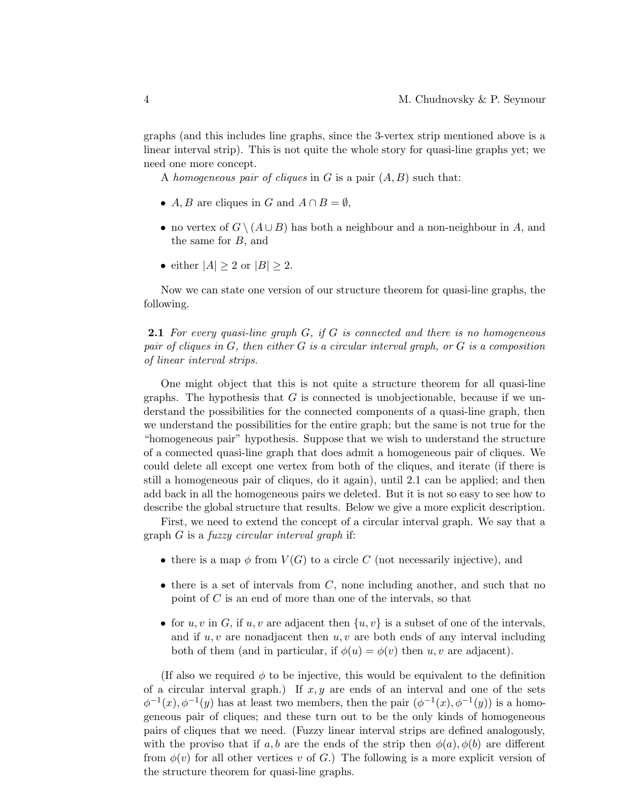graphs (and this includes line graphs, since the 3-vertex strip mentioned above is a linear interval strip). This is not quite the whole story for quasi-line graphs yet; we need one more concept.

A homogeneous pair of cliques in  $G$  is a pair  $(A, B)$  such that:

- A, B are cliques in G and  $A \cap B = \emptyset$ ,
- no vertex of  $G \setminus (A \cup B)$  has both a neighbour and a non-neighbour in A, and the same for B, and
- either  $|A| \geq 2$  or  $|B| \geq 2$ .

Now we can state one version of our structure theorem for quasi-line graphs, the following.

**2.1** For every quasi-line graph  $G$ , if  $G$  is connected and there is no homogeneous pair of cliques in  $G$ , then either  $G$  is a circular interval graph, or  $G$  is a composition of linear interval strips.

One might object that this is not quite a structure theorem for all quasi-line graphs. The hypothesis that  $G$  is connected is unobjectionable, because if we understand the possibilities for the connected components of a quasi-line graph, then we understand the possibilities for the entire graph; but the same is not true for the "homogeneous pair" hypothesis. Suppose that we wish to understand the structure of a connected quasi-line graph that does admit a homogeneous pair of cliques. We could delete all except one vertex from both of the cliques, and iterate (if there is still a homogeneous pair of cliques, do it again), until 2.1 can be applied; and then add back in all the homogeneous pairs we deleted. But it is not so easy to see how to describe the global structure that results. Below we give a more explicit description.

First, we need to extend the concept of a circular interval graph. We say that a graph  $G$  is a *fuzzy circular interval graph* if:

- there is a map  $\phi$  from  $V(G)$  to a circle C (not necessarily injective), and
- there is a set of intervals from  $C$ , none including another, and such that no point of  $C$  is an end of more than one of the intervals, so that
- for u, v in G, if u, v are adjacent then  $\{u, v\}$  is a subset of one of the intervals, and if  $u, v$  are nonadjacent then  $u, v$  are both ends of any interval including both of them (and in particular, if  $\phi(u) = \phi(v)$  then u, v are adjacent).

(If also we required  $\phi$  to be injective, this would be equivalent to the definition of a circular interval graph.) If  $x, y$  are ends of an interval and one of the sets  $\phi^{-1}(x), \phi^{-1}(y)$  has at least two members, then the pair  $(\phi^{-1}(x), \phi^{-1}(y))$  is a homogeneous pair of cliques; and these turn out to be the only kinds of homogeneous pairs of cliques that we need. (Fuzzy linear interval strips are defined analogously, with the proviso that if a, b are the ends of the strip then  $\phi(a), \phi(b)$  are different from  $\phi(v)$  for all other vertices v of G.) The following is a more explicit version of the structure theorem for quasi-line graphs.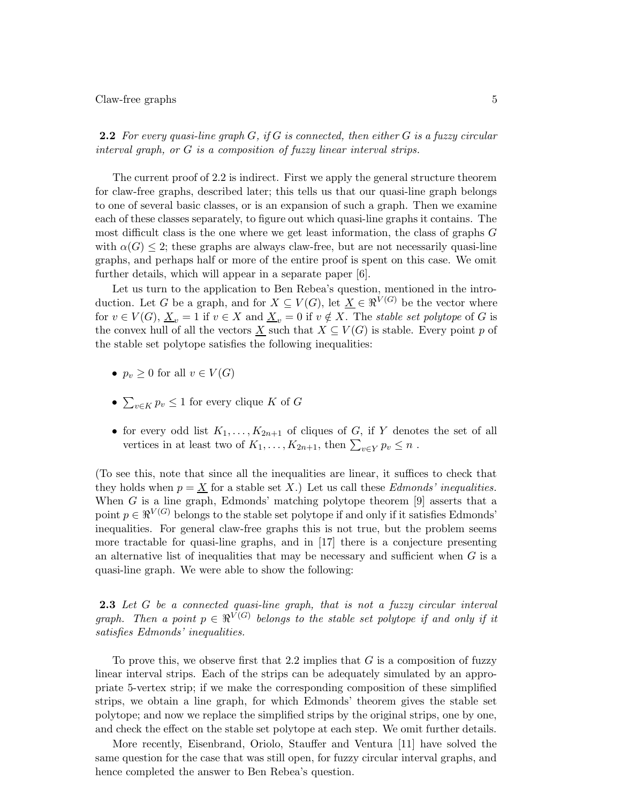**2.2** For every quasi-line graph  $G$ , if  $G$  is connected, then either  $G$  is a fuzzy circular interval graph, or G is a composition of fuzzy linear interval strips.

The current proof of 2.2 is indirect. First we apply the general structure theorem for claw-free graphs, described later; this tells us that our quasi-line graph belongs to one of several basic classes, or is an expansion of such a graph. Then we examine each of these classes separately, to figure out which quasi-line graphs it contains. The most difficult class is the one where we get least information, the class of graphs  $G$ with  $\alpha(G) \leq 2$ ; these graphs are always claw-free, but are not necessarily quasi-line graphs, and perhaps half or more of the entire proof is spent on this case. We omit further details, which will appear in a separate paper [6].

Let us turn to the application to Ben Rebea's question, mentioned in the introduction. Let G be a graph, and for  $X \subseteq V(G)$ , let  $\underline{X} \in \mathfrak{R}^{V(G)}$  be the vector where for  $v \in V(G)$ ,  $\underline{X}_v = 1$  if  $v \in X$  and  $\underline{X}_v = 0$  if  $v \notin X$ . The stable set polytope of G is the convex hull of all the vectors  $\underline{X}$  such that  $X \subseteq V(G)$  is stable. Every point p of the stable set polytope satisfies the following inequalities:

- $p_v \geq 0$  for all  $v \in V(G)$
- $\sum_{v \in K} p_v \leq 1$  for every clique K of G
- for every odd list  $K_1, \ldots, K_{2n+1}$  of cliques of G, if Y denotes the set of all vertices in at least two of  $K_1, \ldots, K_{2n+1}$ , then  $\sum_{v \in Y} p_v \leq n$ .

(To see this, note that since all the inequalities are linear, it suffices to check that they holds when  $p = \underline{X}$  for a stable set X.) Let us call these Edmonds' inequalities. When  $G$  is a line graph, Edmonds' matching polytope theorem  $[9]$  asserts that a point  $p \in \mathfrak{R}^{V(G)}$  belongs to the stable set polytope if and only if it satisfies Edmonds' inequalities. For general claw-free graphs this is not true, but the problem seems more tractable for quasi-line graphs, and in [17] there is a conjecture presenting an alternative list of inequalities that may be necessary and sufficient when  $G$  is a quasi-line graph. We were able to show the following:

**2.3** Let  $G$  be a connected quasi-line graph, that is not a fuzzy circular interval graph. Then a point  $p \in \mathbb{R}^{V(G)}$  belongs to the stable set polytope if and only if it satisfies Edmonds' inequalities.

To prove this, we observe first that 2.2 implies that  $G$  is a composition of fuzzy linear interval strips. Each of the strips can be adequately simulated by an appropriate 5-vertex strip; if we make the corresponding composition of these simplified strips, we obtain a line graph, for which Edmonds' theorem gives the stable set polytope; and now we replace the simplified strips by the original strips, one by one, and check the effect on the stable set polytope at each step. We omit further details.

More recently, Eisenbrand, Oriolo, Stauffer and Ventura [11] have solved the same question for the case that was still open, for fuzzy circular interval graphs, and hence completed the answer to Ben Rebea's question.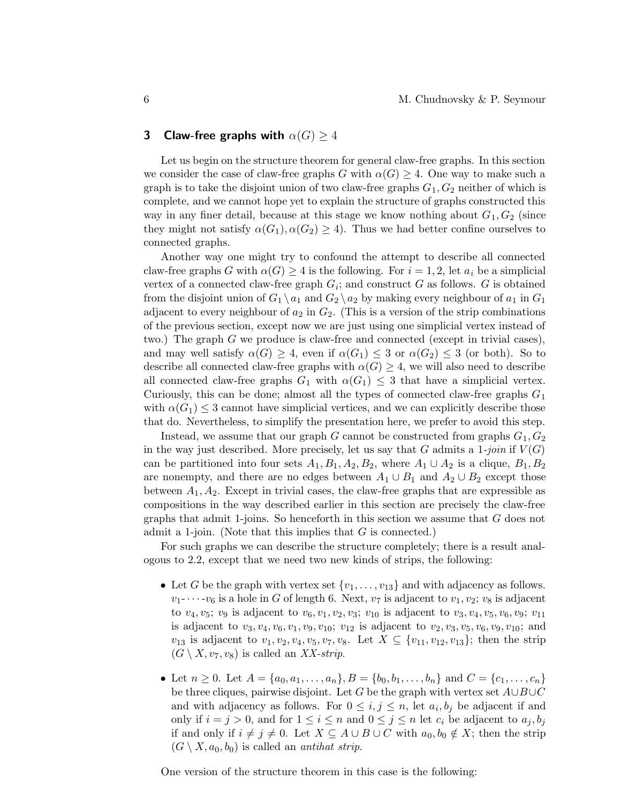# **3** Claw-free graphs with  $\alpha(G) \geq 4$

Let us begin on the structure theorem for general claw-free graphs. In this section we consider the case of claw-free graphs G with  $\alpha(G) \geq 4$ . One way to make such a graph is to take the disjoint union of two claw-free graphs  $G_1, G_2$  neither of which is complete, and we cannot hope yet to explain the structure of graphs constructed this way in any finer detail, because at this stage we know nothing about  $G_1, G_2$  (since they might not satisfy  $\alpha(G_1), \alpha(G_2) \geq 4$ . Thus we had better confine ourselves to connected graphs.

Another way one might try to confound the attempt to describe all connected claw-free graphs G with  $\alpha(G) \geq 4$  is the following. For  $i = 1, 2$ , let  $a_i$  be a simplicial vertex of a connected claw-free graph  $G_i$ ; and construct G as follows. G is obtained from the disjoint union of  $G_1 \setminus a_1$  and  $G_2 \setminus a_2$  by making every neighbour of  $a_1$  in  $G_1$ adjacent to every neighbour of  $a_2$  in  $G_2$ . (This is a version of the strip combinations of the previous section, except now we are just using one simplicial vertex instead of two.) The graph G we produce is claw-free and connected (except in trivial cases), and may well satisfy  $\alpha(G) \geq 4$ , even if  $\alpha(G_1) \leq 3$  or  $\alpha(G_2) \leq 3$  (or both). So to describe all connected claw-free graphs with  $\alpha(G) \geq 4$ , we will also need to describe all connected claw-free graphs  $G_1$  with  $\alpha(G_1) \leq 3$  that have a simplicial vertex. Curiously, this can be done; almost all the types of connected claw-free graphs  $G_1$ with  $\alpha(G_1) \leq 3$  cannot have simplicial vertices, and we can explicitly describe those that do. Nevertheless, to simplify the presentation here, we prefer to avoid this step.

Instead, we assume that our graph G cannot be constructed from graphs  $G_1, G_2$ in the way just described. More precisely, let us say that G admits a 1-join if  $V(G)$ can be partitioned into four sets  $A_1, B_1, A_2, B_2$ , where  $A_1 \cup A_2$  is a clique,  $B_1, B_2$ are nonempty, and there are no edges between  $A_1 \cup B_1$  and  $A_2 \cup B_2$  except those between  $A_1, A_2$ . Except in trivial cases, the claw-free graphs that are expressible as compositions in the way described earlier in this section are precisely the claw-free graphs that admit 1-joins. So henceforth in this section we assume that  $G$  does not admit a 1-join. (Note that this implies that  $G$  is connected.)

For such graphs we can describe the structure completely; there is a result analogous to 2.2, except that we need two new kinds of strips, the following:

- Let G be the graph with vertex set  $\{v_1, \ldots, v_{13}\}$  and with adjacency as follows.  $v_1$ - $\cdots$ - $v_6$  is a hole in G of length 6. Next,  $v_7$  is adjacent to  $v_1, v_2; v_8$  is adjacent to  $v_4, v_5; v_9$  is adjacent to  $v_6, v_1, v_2, v_3; v_{10}$  is adjacent to  $v_3, v_4, v_5, v_6, v_9; v_{11}$ is adjacent to  $v_3, v_4, v_6, v_1, v_9, v_{10}$ ;  $v_{12}$  is adjacent to  $v_2, v_3, v_5, v_6, v_9, v_{10}$ ; and  $v_{13}$  is adjacent to  $v_1, v_2, v_4, v_5, v_7, v_8$ . Let  $X \subseteq \{v_{11}, v_{12}, v_{13}\};$  then the strip  $(G \setminus X, v_7, v_8)$  is called an XX-strip.
- Let  $n \ge 0$ . Let  $A = \{a_0, a_1, \ldots, a_n\}$ ,  $B = \{b_0, b_1, \ldots, b_n\}$  and  $C = \{c_1, \ldots, c_n\}$ be three cliques, pairwise disjoint. Let G be the graph with vertex set  $A\cup B\cup C$ and with adjacency as follows. For  $0 \leq i, j \leq n$ , let  $a_i, b_j$  be adjacent if and only if  $i = j > 0$ , and for  $1 \leq i \leq n$  and  $0 \leq j \leq n$  let  $c_i$  be adjacent to  $a_j, b_j$ if and only if  $i \neq j \neq 0$ . Let  $X \subseteq A \cup B \cup C$  with  $a_0, b_0 \notin X$ ; then the strip  $(G \setminus X, a_0, b_0)$  is called an *antihat strip*.

One version of the structure theorem in this case is the following: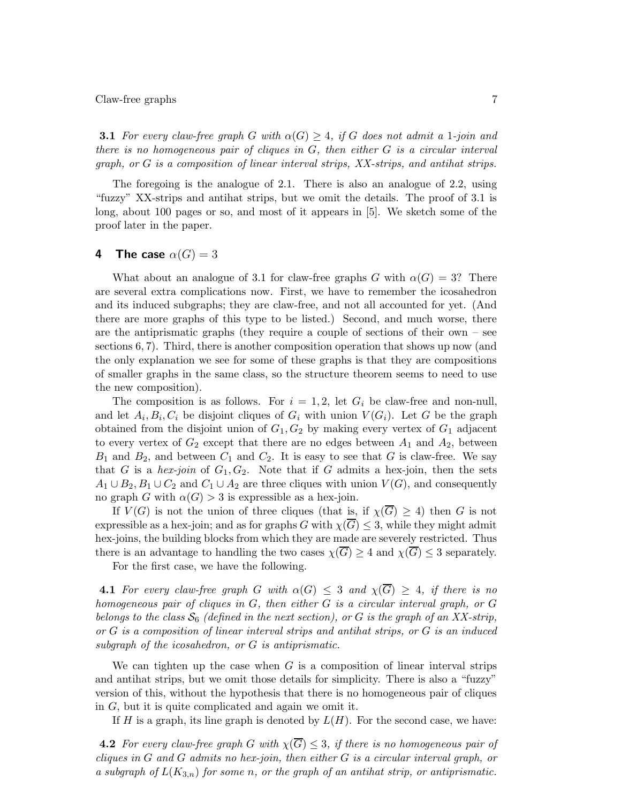**3.1** For every claw-free graph G with  $\alpha(G) \geq 4$ , if G does not admit a 1-join and there is no homogeneous pair of cliques in  $G$ , then either  $G$  is a circular interval graph, or G is a composition of linear interval strips, XX-strips, and antihat strips.

The foregoing is the analogue of 2.1. There is also an analogue of 2.2, using "fuzzy" XX-strips and antihat strips, but we omit the details. The proof of 3.1 is long, about 100 pages or so, and most of it appears in [5]. We sketch some of the proof later in the paper.

## 4 The case  $\alpha(G) = 3$

What about an analogue of 3.1 for claw-free graphs G with  $\alpha(G) = 3$ ? There are several extra complications now. First, we have to remember the icosahedron and its induced subgraphs; they are claw-free, and not all accounted for yet. (And there are more graphs of this type to be listed.) Second, and much worse, there are the antiprismatic graphs (they require a couple of sections of their own – see sections 6, 7). Third, there is another composition operation that shows up now (and the only explanation we see for some of these graphs is that they are compositions of smaller graphs in the same class, so the structure theorem seems to need to use the new composition).

The composition is as follows. For  $i = 1, 2$ , let  $G_i$  be claw-free and non-null, and let  $A_i, B_i, C_i$  be disjoint cliques of  $G_i$  with union  $V(G_i)$ . Let G be the graph obtained from the disjoint union of  $G_1, G_2$  by making every vertex of  $G_1$  adjacent to every vertex of  $G_2$  except that there are no edges between  $A_1$  and  $A_2$ , between  $B_1$  and  $B_2$ , and between  $C_1$  and  $C_2$ . It is easy to see that G is claw-free. We say that G is a hex-join of  $G_1, G_2$ . Note that if G admits a hex-join, then the sets  $A_1 \cup B_2, B_1 \cup C_2$  and  $C_1 \cup A_2$  are three cliques with union  $V(G)$ , and consequently no graph G with  $\alpha(G) > 3$  is expressible as a hex-join.

If  $V(G)$  is not the union of three cliques (that is, if  $\chi(\overline{G}) \geq 4$ ) then G is not expressible as a hex-join; and as for graphs G with  $\chi(\overline{G}) \leq 3$ , while they might admit hex-joins, the building blocks from which they are made are severely restricted. Thus there is an advantage to handling the two cases  $\chi(\overline{G}) \geq 4$  and  $\chi(\overline{G}) \leq 3$  separately.

For the first case, we have the following.

**4.1** For every claw-free graph G with  $\alpha(G) \leq 3$  and  $\chi(\overline{G}) \geq 4$ , if there is no homogeneous pair of cliques in G, then either G is a circular interval graph, or G belongs to the class  $S_6$  (defined in the next section), or G is the graph of an XX-strip, or G is a composition of linear interval strips and antihat strips, or G is an induced subgraph of the icosahedron, or G is antiprismatic.

We can tighten up the case when  $G$  is a composition of linear interval strips and antihat strips, but we omit those details for simplicity. There is also a "fuzzy" version of this, without the hypothesis that there is no homogeneous pair of cliques in G, but it is quite complicated and again we omit it.

If H is a graph, its line graph is denoted by  $L(H)$ . For the second case, we have:

**4.2** For every claw-free graph G with  $\chi(G) \leq 3$ , if there is no homogeneous pair of cliques in G and G admits no hex-join, then either G is a circular interval graph, or a subgraph of  $L(K_{3,n})$  for some n, or the graph of an antihat strip, or antiprismatic.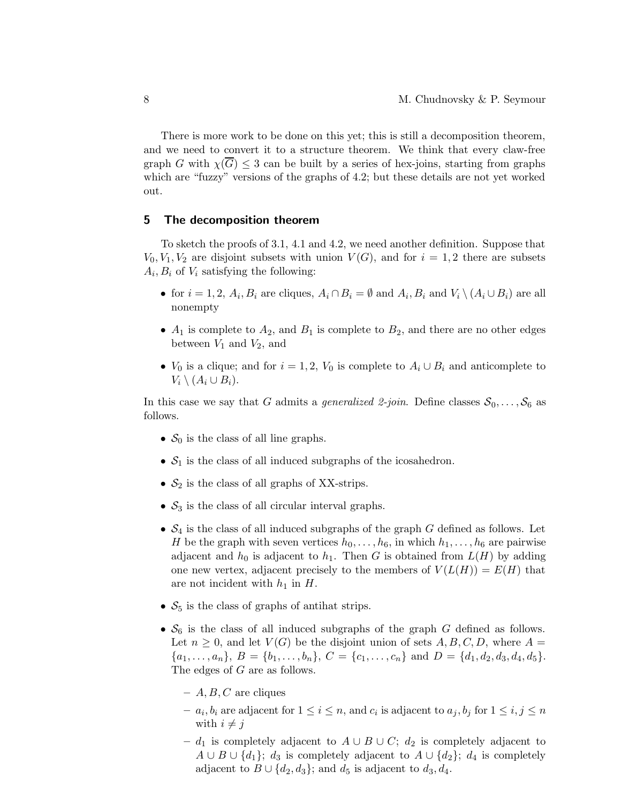There is more work to be done on this yet; this is still a decomposition theorem, and we need to convert it to a structure theorem. We think that every claw-free graph G with  $\chi(\overline{G}) \leq 3$  can be built by a series of hex-joins, starting from graphs which are "fuzzy" versions of the graphs of 4.2; but these details are not yet worked out.

# 5 The decomposition theorem

To sketch the proofs of 3.1, 4.1 and 4.2, we need another definition. Suppose that  $V_0, V_1, V_2$  are disjoint subsets with union  $V(G)$ , and for  $i = 1, 2$  there are subsets  $A_i, B_i$  of  $V_i$  satisfying the following:

- for  $i = 1, 2, A_i, B_i$  are cliques,  $A_i \cap B_i = \emptyset$  and  $A_i, B_i$  and  $V_i \setminus (A_i \cup B_i)$  are all nonempty
- $A_1$  is complete to  $A_2$ , and  $B_1$  is complete to  $B_2$ , and there are no other edges between  $V_1$  and  $V_2$ , and
- $V_0$  is a clique; and for  $i = 1, 2, V_0$  is complete to  $A_i \cup B_i$  and anticomplete to  $V_i \setminus (A_i \cup B_i).$

In this case we say that G admits a *generalized 2-join*. Define classes  $S_0, \ldots, S_6$  as follows.

- $S_0$  is the class of all line graphs.
- $S_1$  is the class of all induced subgraphs of the icosahedron.
- $S_2$  is the class of all graphs of XX-strips.
- $S_3$  is the class of all circular interval graphs.
- $S_4$  is the class of all induced subgraphs of the graph G defined as follows. Let H be the graph with seven vertices  $h_0, \ldots, h_6$ , in which  $h_1, \ldots, h_6$  are pairwise adjacent and  $h_0$  is adjacent to  $h_1$ . Then G is obtained from  $L(H)$  by adding one new vertex, adjacent precisely to the members of  $V(L(H)) = E(H)$  that are not incident with  $h_1$  in  $H$ .
- $S_5$  is the class of graphs of antihat strips.
- $S_6$  is the class of all induced subgraphs of the graph G defined as follows. Let  $n \geq 0$ , and let  $V(G)$  be the disjoint union of sets  $A, B, C, D$ , where  $A =$  $\{a_1, \ldots, a_n\}, B = \{b_1, \ldots, b_n\}, C = \{c_1, \ldots, c_n\}$  and  $D = \{d_1, d_2, d_3, d_4, d_5\}.$ The edges of G are as follows.
	- $A, B, C$  are cliques
	- $-a_i, b_i$  are adjacent for  $1 \leq i \leq n$ , and  $c_i$  is adjacent to  $a_j, b_j$  for  $1 \leq i, j \leq n$ with  $i \neq j$
	- $d_1$  is completely adjacent to  $A ∪ B ∪ C$ ;  $d_2$  is completely adjacent to  $A \cup B \cup \{d_1\}; d_3$  is completely adjacent to  $A \cup \{d_2\}; d_4$  is completely adjacent to  $B \cup \{d_2, d_3\}$ ; and  $d_5$  is adjacent to  $d_3, d_4$ .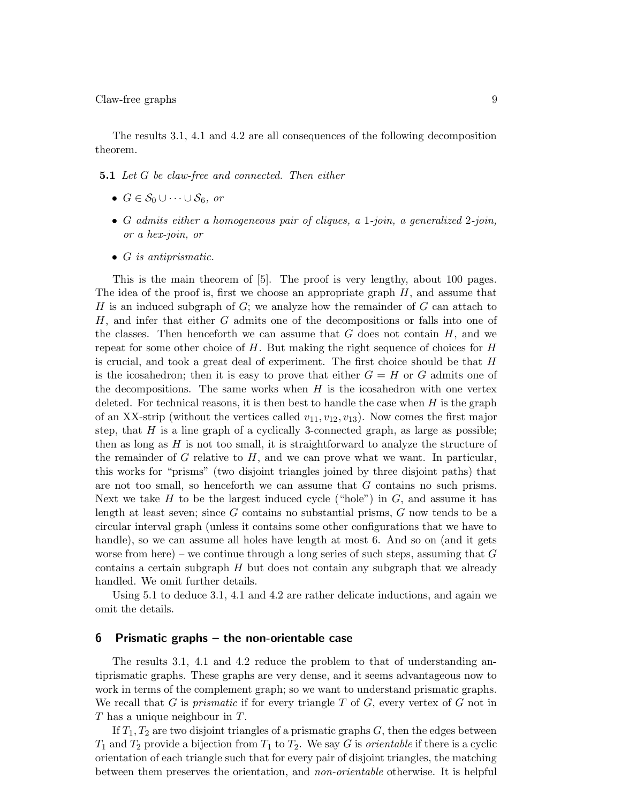The results 3.1, 4.1 and 4.2 are all consequences of the following decomposition theorem.

- 5.1 Let G be claw-free and connected. Then either
	- $G \in \mathcal{S}_0 \cup \cdots \cup \mathcal{S}_6$ , or
	- G admits either a homogeneous pair of cliques, a 1-join, a generalized 2-join, or a hex-join, or
	- G is antiprismatic.

This is the main theorem of [5]. The proof is very lengthy, about 100 pages. The idea of the proof is, first we choose an appropriate graph  $H$ , and assume that H is an induced subgraph of  $G$ ; we analyze how the remainder of  $G$  can attach to H, and infer that either G admits one of the decompositions or falls into one of the classes. Then henceforth we can assume that  $G$  does not contain  $H$ , and we repeat for some other choice of  $H$ . But making the right sequence of choices for  $H$ is crucial, and took a great deal of experiment. The first choice should be that  $H$ is the icosahedron; then it is easy to prove that either  $G = H$  or G admits one of the decompositions. The same works when  $H$  is the icosahedron with one vertex deleted. For technical reasons, it is then best to handle the case when  $H$  is the graph of an XX-strip (without the vertices called  $v_{11}, v_{12}, v_{13}$ ). Now comes the first major step, that  $H$  is a line graph of a cyclically 3-connected graph, as large as possible; then as long as  $H$  is not too small, it is straightforward to analyze the structure of the remainder of G relative to  $H$ , and we can prove what we want. In particular, this works for "prisms" (two disjoint triangles joined by three disjoint paths) that are not too small, so henceforth we can assume that  $G$  contains no such prisms. Next we take H to be the largest induced cycle ("hole") in  $G$ , and assume it has length at least seven; since  $G$  contains no substantial prisms,  $G$  now tends to be a circular interval graph (unless it contains some other configurations that we have to handle), so we can assume all holes have length at most 6. And so on (and it gets worse from here) – we continue through a long series of such steps, assuming that  $G$ contains a certain subgraph  $H$  but does not contain any subgraph that we already handled. We omit further details.

Using 5.1 to deduce 3.1, 4.1 and 4.2 are rather delicate inductions, and again we omit the details.

#### 6 Prismatic graphs – the non-orientable case

The results 3.1, 4.1 and 4.2 reduce the problem to that of understanding antiprismatic graphs. These graphs are very dense, and it seems advantageous now to work in terms of the complement graph; so we want to understand prismatic graphs. We recall that G is *prismatic* if for every triangle T of G, every vertex of G not in T has a unique neighbour in T.

If  $T_1, T_2$  are two disjoint triangles of a prismatic graphs  $G$ , then the edges between  $T_1$  and  $T_2$  provide a bijection from  $T_1$  to  $T_2$ . We say G is *orientable* if there is a cyclic orientation of each triangle such that for every pair of disjoint triangles, the matching between them preserves the orientation, and non-orientable otherwise. It is helpful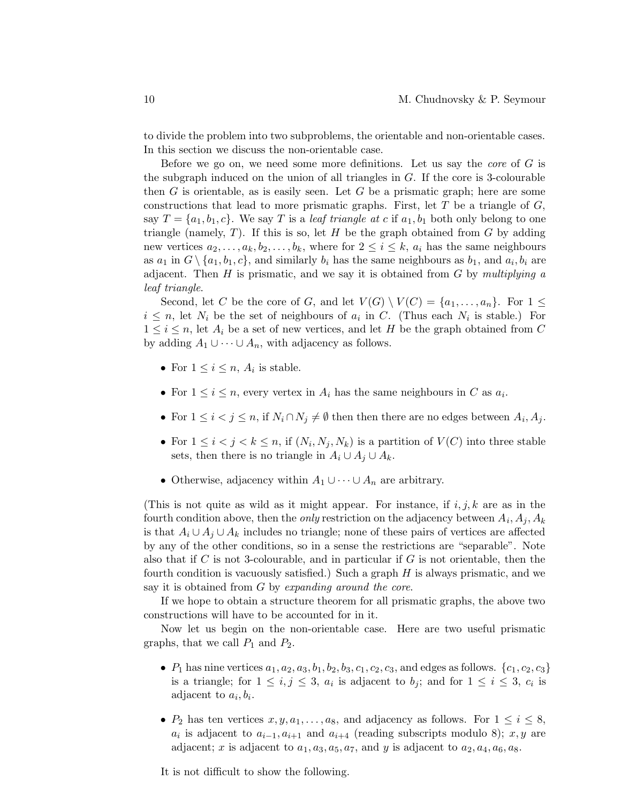to divide the problem into two subproblems, the orientable and non-orientable cases. In this section we discuss the non-orientable case.

Before we go on, we need some more definitions. Let us say the *core* of  $G$  is the subgraph induced on the union of all triangles in G. If the core is 3-colourable then  $G$  is orientable, as is easily seen. Let  $G$  be a prismatic graph; here are some constructions that lead to more prismatic graphs. First, let  $T$  be a triangle of  $G$ , say  $T = \{a_1, b_1, c\}$ . We say T is a *leaf triangle at c* if  $a_1, b_1$  both only belong to one triangle (namely,  $T$ ). If this is so, let  $H$  be the graph obtained from  $G$  by adding new vertices  $a_2, \ldots, a_k, b_2, \ldots, b_k$ , where for  $2 \leq i \leq k$ ,  $a_i$  has the same neighbours as  $a_1$  in  $G \setminus \{a_1, b_1, c\}$ , and similarly  $b_i$  has the same neighbours as  $b_1$ , and  $a_i, b_i$  are adjacent. Then  $H$  is prismatic, and we say it is obtained from  $G$  by multiplying a leaf triangle.

Second, let C be the core of G, and let  $V(G) \setminus V(C) = \{a_1, \ldots, a_n\}$ . For  $1 \leq$  $i \leq n$ , let  $N_i$  be the set of neighbours of  $a_i$  in C. (Thus each  $N_i$  is stable.) For  $1 \leq i \leq n$ , let  $A_i$  be a set of new vertices, and let H be the graph obtained from C by adding  $A_1 \cup \cdots \cup A_n$ , with adjacency as follows.

- For  $1 \leq i \leq n$ ,  $A_i$  is stable.
- For  $1 \leq i \leq n$ , every vertex in  $A_i$  has the same neighbours in C as  $a_i$ .
- For  $1 \leq i < j \leq n$ , if  $N_i \cap N_j \neq \emptyset$  then then there are no edges between  $A_i, A_j$ .
- For  $1 \leq i < j < k \leq n$ , if  $(N_i, N_j, N_k)$  is a partition of  $V(C)$  into three stable sets, then there is no triangle in  $A_i \cup A_j \cup A_k$ .
- Otherwise, adjacency within  $A_1 \cup \cdots \cup A_n$  are arbitrary.

(This is not quite as wild as it might appear. For instance, if  $i, j, k$  are as in the fourth condition above, then the *only* restriction on the adjacency between  $A_i$ ,  $A_j$ ,  $A_k$ is that  $A_i \cup A_j \cup A_k$  includes no triangle; none of these pairs of vertices are affected by any of the other conditions, so in a sense the restrictions are "separable". Note also that if C is not 3-colourable, and in particular if  $G$  is not orientable, then the fourth condition is vacuously satisfied.) Such a graph H is always prismatic, and we say it is obtained from G by expanding around the core.

If we hope to obtain a structure theorem for all prismatic graphs, the above two constructions will have to be accounted for in it.

Now let us begin on the non-orientable case. Here are two useful prismatic graphs, that we call  $P_1$  and  $P_2$ .

- $P_1$  has nine vertices  $a_1, a_2, a_3, b_1, b_2, b_3, c_1, c_2, c_3$ , and edges as follows.  $\{c_1, c_2, c_3\}$ is a triangle; for  $1 \leq i, j \leq 3$ ,  $a_i$  is adjacent to  $b_j$ ; and for  $1 \leq i \leq 3$ ,  $c_i$  is adjacent to  $a_i, b_i$ .
- $P_2$  has ten vertices  $x, y, a_1, \ldots, a_8$ , and adjacency as follows. For  $1 \leq i \leq 8$ ,  $a_i$  is adjacent to  $a_{i-1}, a_{i+1}$  and  $a_{i+4}$  (reading subscripts modulo 8);  $x, y$  are adjacent; x is adjacent to  $a_1, a_3, a_5, a_7$ , and y is adjacent to  $a_2, a_4, a_6, a_8$ .

It is not difficult to show the following.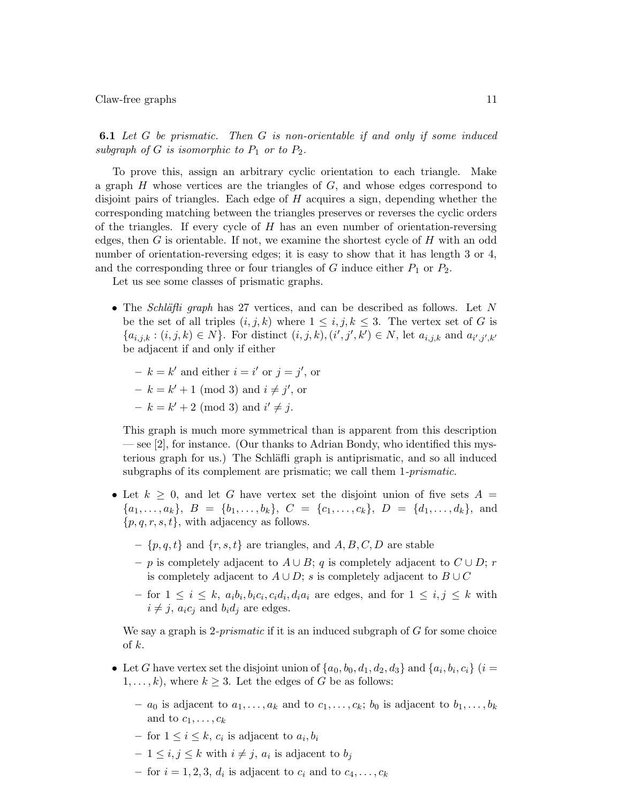**6.1** Let G be prismatic. Then G is non-orientable if and only if some induced subgraph of G is isomorphic to  $P_1$  or to  $P_2$ .

To prove this, assign an arbitrary cyclic orientation to each triangle. Make a graph  $H$  whose vertices are the triangles of  $G$ , and whose edges correspond to disjoint pairs of triangles. Each edge of  $H$  acquires a sign, depending whether the corresponding matching between the triangles preserves or reverses the cyclic orders of the triangles. If every cycle of  $H$  has an even number of orientation-reversing edges, then  $G$  is orientable. If not, we examine the shortest cycle of  $H$  with an odd number of orientation-reversing edges; it is easy to show that it has length 3 or 4, and the corresponding three or four triangles of  $G$  induce either  $P_1$  or  $P_2$ .

Let us see some classes of prismatic graphs.

- The *Schläfli graph* has 27 vertices, and can be described as follows. Let N be the set of all triples  $(i, j, k)$  where  $1 \leq i, j, k \leq 3$ . The vertex set of G is  ${a_{i,j,k} : (i,j,k) \in N}$ . For distinct  $(i, j, k), (i', j', k') \in N$ , let  $a_{i,j,k}$  and  $a_{i',j',k'}$ be adjacent if and only if either
	- $k = k'$  and either  $i = i'$  or  $j = j'$ , or
	- $-k = k' + 1 \pmod{3}$  and  $i \neq j'$ , or
	- $-k = k' + 2 \pmod{3}$  and  $i' \neq j$ .

This graph is much more symmetrical than is apparent from this description — see [2], for instance. (Our thanks to Adrian Bondy, who identified this mysterious graph for us.) The Schläfli graph is antiprismatic, and so all induced subgraphs of its complement are prismatic; we call them 1-*prismatic*.

- Let  $k \geq 0$ , and let G have vertex set the disjoint union of five sets  $A =$  $\{a_1, \ldots, a_k\}, B = \{b_1, \ldots, b_k\}, C = \{c_1, \ldots, c_k\}, D = \{d_1, \ldots, d_k\},$  and  $\{p,q,r,s,t\}$ , with adjacency as follows.
	- $\{p, q, t\}$  and  $\{r, s, t\}$  are triangles, and  $A, B, C, D$  are stable
	- p is completely adjacent to  $A \cup B$ ; q is completely adjacent to  $C \cup D$ ; r is completely adjacent to  $A \cup D$ ; s is completely adjacent to  $B \cup C$
	- $-$  for  $1 \leq i \leq k$ ,  $a_i b_i, b_i c_i, c_i d_i, d_i a_i$  are edges, and for  $1 \leq i, j \leq k$  with  $i \neq j$ ,  $a_i c_j$  and  $b_i d_j$  are edges.

We say a graph is 2-*prismatic* if it is an induced subgraph of  $G$  for some choice of  $k$ .

- Let G have vertex set the disjoint union of  $\{a_0, b_0, d_1, d_2, d_3\}$  and  $\{a_i, b_i, c_i\}$   $(i =$  $1, \ldots, k$ , where  $k \geq 3$ . Let the edges of G be as follows:
	- $a_0$  is adjacent to  $a_1, \ldots, a_k$  and to  $c_1, \ldots, c_k$ ;  $b_0$  is adjacent to  $b_1, \ldots, b_k$ and to  $c_1, \ldots, c_k$
	- for  $1 \leq i \leq k$ ,  $c_i$  is adjacent to  $a_i, b_i$
	- $-1 \leq i, j \leq k$  with  $i \neq j$ ,  $a_i$  is adjacent to  $b_j$
	- for  $i = 1, 2, 3, d_i$  is adjacent to  $c_i$  and to  $c_4, \ldots, c_k$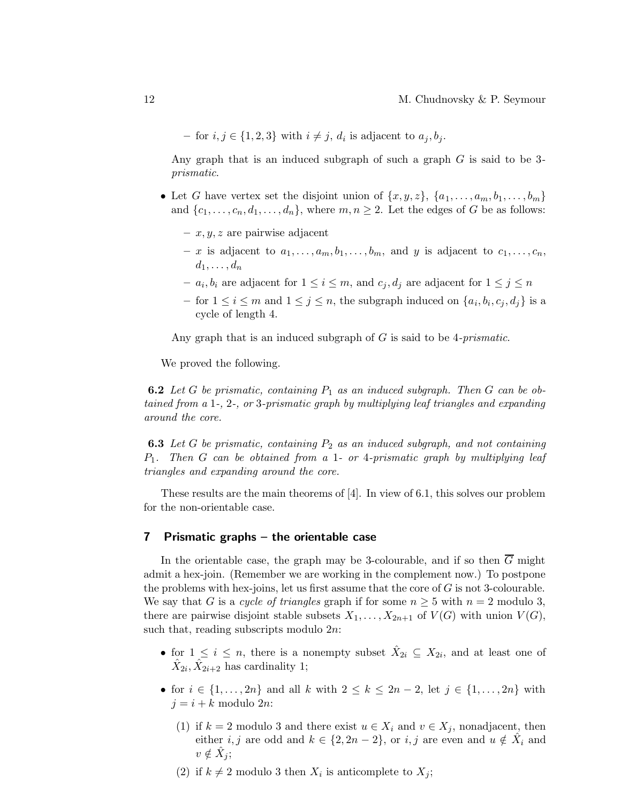− for  $i, j \in \{1, 2, 3\}$  with  $i \neq j$ ,  $d_i$  is adjacent to  $a_j, b_j$ .

Any graph that is an induced subgraph of such a graph  $G$  is said to be 3prismatic.

- Let G have vertex set the disjoint union of  $\{x, y, z\}$ ,  $\{a_1, \ldots, a_m, b_1, \ldots, b_m\}$ and  $\{c_1, \ldots, c_n, d_1, \ldots, d_n\}$ , where  $m, n \geq 2$ . Let the edges of G be as follows:
	- $x, y, z$  are pairwise adjacent
	- x is adjacent to  $a_1, \ldots, a_m, b_1, \ldots, b_m$ , and y is adjacent to  $c_1, \ldots, c_n$ ,  $d_1, \ldots, d_n$
	- $a_i, b_i$  are adjacent for  $1 \leq i \leq m$ , and  $c_j, d_j$  are adjacent for  $1 \leq j \leq n$
	- − for  $1 \le i \le m$  and  $1 \le j \le n$ , the subgraph induced on  $\{a_i, b_i, c_j, d_j\}$  is a cycle of length 4.

Any graph that is an induced subgraph of  $G$  is said to be 4-*prismatic*.

We proved the following.

**6.2** Let G be prismatic, containing  $P_1$  as an induced subgraph. Then G can be obtained from a 1-, 2-, or 3-prismatic graph by multiplying leaf triangles and expanding around the core.

**6.3** Let G be prismatic, containing  $P_2$  as an induced subgraph, and not containing  $P_1$ . Then G can be obtained from a 1- or 4-prismatic graph by multiplying leaf triangles and expanding around the core.

These results are the main theorems of [4]. In view of 6.1, this solves our problem for the non-orientable case.

### 7 Prismatic graphs – the orientable case

In the orientable case, the graph may be 3-colourable, and if so then  $\overline{G}$  might admit a hex-join. (Remember we are working in the complement now.) To postpone the problems with hex-joins, let us first assume that the core of  $G$  is not 3-colourable. We say that G is a cycle of triangles graph if for some  $n \geq 5$  with  $n = 2$  modulo 3, there are pairwise disjoint stable subsets  $X_1, \ldots, X_{2n+1}$  of  $V(G)$  with union  $V(G)$ , such that, reading subscripts modulo  $2n$ :

- for  $1 \leq i \leq n$ , there is a nonempty subset  $\hat{X}_{2i} \subseteq X_{2i}$ , and at least one of  $\hat{X}_{2i}, \hat{X}_{2i+2}$  has cardinality 1;
- for  $i \in \{1, ..., 2n\}$  and all k with  $2 \le k \le 2n-2$ , let  $j \in \{1, ..., 2n\}$  with  $j = i + k$  modulo  $2n$ :
	- (1) if  $k = 2$  modulo 3 and there exist  $u \in X_i$  and  $v \in X_j$ , nonadjacent, then either *i*, *j* are odd and  $k \in \{2, 2n - 2\}$ , or *i*, *j* are even and  $u \notin \hat{X}_i$  and  $v \notin \hat{X}_j;$
	- (2) if  $k \neq 2$  modulo 3 then  $X_i$  is anticomplete to  $X_j$ ;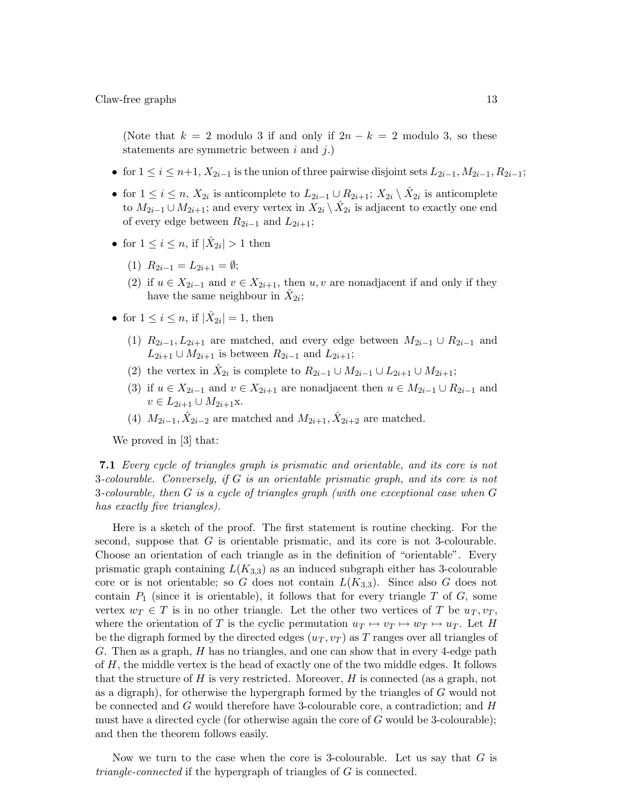(Note that  $k = 2$  modulo 3 if and only if  $2n - k = 2$  modulo 3, so these statements are symmetric between  $i$  and  $j$ .)

- for  $1 \leq i \leq n+1$ ,  $X_{2i-1}$  is the union of three pairwise disjoint sets  $L_{2i-1}$ ,  $M_{2i-1}$ ,  $R_{2i-1}$ ;
- for  $1 \leq i \leq n$ ,  $X_{2i}$  is anticomplete to  $L_{2i-1} \cup R_{2i+1}$ ;  $X_{2i} \setminus \hat{X}_{2i}$  is anticomplete to  $M_{2i-1} \cup M_{2i+1}$ ; and every vertex in  $X_{2i} \setminus \hat{X}_{2i}$  is adjacent to exactly one end of every edge between  $R_{2i-1}$  and  $L_{2i+1}$ ;
- for  $1 \leq i \leq n$ , if  $|\hat{X}_{2i}| > 1$  then
	- (1)  $R_{2i-1} = L_{2i+1} = \emptyset;$
	- (2) if  $u \in X_{2i-1}$  and  $v \in X_{2i+1}$ , then  $u, v$  are nonadjacent if and only if they have the same neighbour in  $\hat{X}_{2i}$ ;
- for  $1 \leq i \leq n$ , if  $|\hat{X}_{2i}| = 1$ , then
	- (1)  $R_{2i-1}, L_{2i+1}$  are matched, and every edge between  $M_{2i-1} \cup R_{2i-1}$  and  $L_{2i+1} \cup M_{2i+1}$  is between  $R_{2i-1}$  and  $L_{2i+1}$ ;
	- (2) the vertex in  $\hat{X}_{2i}$  is complete to  $R_{2i-1} \cup M_{2i-1} \cup L_{2i+1} \cup M_{2i+1}$ ;
	- (3) if  $u \in X_{2i-1}$  and  $v \in X_{2i+1}$  are nonadjacent then  $u \in M_{2i-1} \cup R_{2i-1}$  and  $v \in L_{2i+1} \cup M_{2i+1}$ x.
	- (4)  $M_{2i-1}, \hat{X}_{2i-2}$  are matched and  $M_{2i+1}, \hat{X}_{2i+2}$  are matched.

We proved in [3] that:

7.1 Every cycle of triangles graph is prismatic and orientable, and its core is not 3-colourable. Conversely, if G is an orientable prismatic graph, and its core is not 3-colourable, then G is a cycle of triangles graph (with one exceptional case when G has exactly five triangles).

Here is a sketch of the proof. The first statement is routine checking. For the second, suppose that G is orientable prismatic, and its core is not 3-colourable. Choose an orientation of each triangle as in the definition of "orientable". Every prismatic graph containing  $L(K_{3,3})$  as an induced subgraph either has 3-colourable core or is not orientable; so G does not contain  $L(K_{3,3})$ . Since also G does not contain  $P_1$  (since it is orientable), it follows that for every triangle T of G, some vertex  $w_T \in T$  is in no other triangle. Let the other two vertices of T be  $u_T, v_T$ , where the orientation of T is the cyclic permutation  $u_T \mapsto v_T \mapsto w_T \mapsto u_T$ . Let H be the digraph formed by the directed edges  $(u_T, v_T)$  as T ranges over all triangles of G. Then as a graph, H has no triangles, and one can show that in every 4-edge path of H, the middle vertex is the head of exactly one of the two middle edges. It follows that the structure of H is very restricted. Moreover,  $H$  is connected (as a graph, not as a digraph), for otherwise the hypergraph formed by the triangles of G would not be connected and  $G$  would therefore have 3-colourable core, a contradiction; and  $H$ must have a directed cycle (for otherwise again the core of  $G$  would be 3-colourable); and then the theorem follows easily.

Now we turn to the case when the core is 3-colourable. Let us say that  $G$  is triangle-connected if the hypergraph of triangles of G is connected.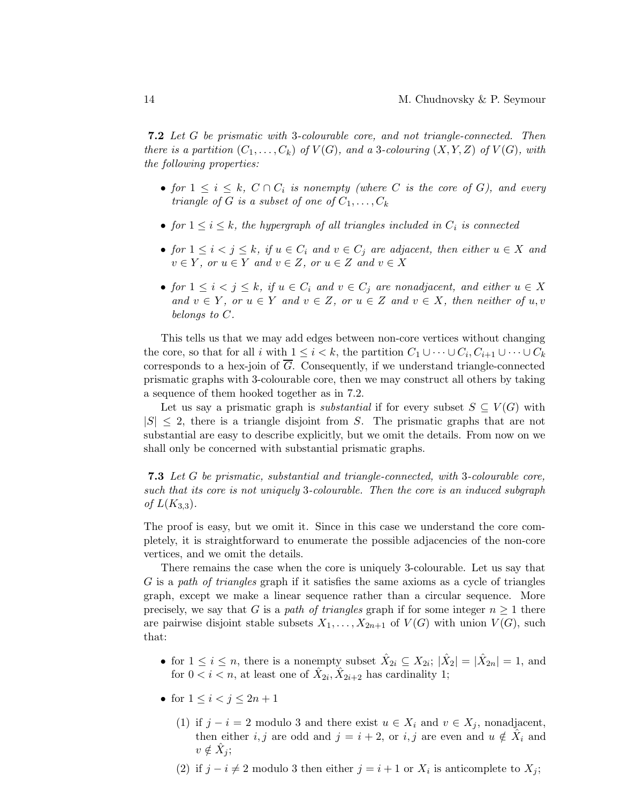7.2 Let G be prismatic with 3-colourable core, and not triangle-connected. Then there is a partition  $(C_1, \ldots, C_k)$  of  $V(G)$ , and a 3-colouring  $(X, Y, Z)$  of  $V(G)$ , with the following properties:

- for  $1 \leq i \leq k$ ,  $C \cap C_i$  is nonempty (where C is the core of G), and every triangle of G is a subset of one of  $C_1, \ldots, C_k$
- for  $1 \leq i \leq k$ , the hypergraph of all triangles included in  $C_i$  is connected
- for  $1 \leq i < j \leq k$ , if  $u \in C_i$  and  $v \in C_j$  are adjacent, then either  $u \in X$  and  $v \in Y$ , or  $u \in Y$  and  $v \in Z$ , or  $u \in Z$  and  $v \in X$
- for  $1 \leq i < j \leq k$ , if  $u \in C_i$  and  $v \in C_j$  are nonadjacent, and either  $u \in X$ and  $v \in Y$ , or  $u \in Y$  and  $v \in Z$ , or  $u \in Z$  and  $v \in X$ , then neither of  $u, v$ belongs to C.

This tells us that we may add edges between non-core vertices without changing the core, so that for all i with  $1 \leq i < k$ , the partition  $C_1 \cup \cdots \cup C_i$ ,  $C_{i+1} \cup \cdots \cup C_k$ corresponds to a hex-join of  $\overline{G}$ . Consequently, if we understand triangle-connected prismatic graphs with 3-colourable core, then we may construct all others by taking a sequence of them hooked together as in 7.2.

Let us say a prismatic graph is *substantial* if for every subset  $S \subseteq V(G)$  with  $|S| \leq 2$ , there is a triangle disjoint from S. The prismatic graphs that are not substantial are easy to describe explicitly, but we omit the details. From now on we shall only be concerned with substantial prismatic graphs.

7.3 Let G be prismatic, substantial and triangle-connected, with 3-colourable core, such that its core is not uniquely 3-colourable. Then the core is an induced subgraph of  $L(K_{3,3})$ .

The proof is easy, but we omit it. Since in this case we understand the core completely, it is straightforward to enumerate the possible adjacencies of the non-core vertices, and we omit the details.

There remains the case when the core is uniquely 3-colourable. Let us say that G is a path of triangles graph if it satisfies the same axioms as a cycle of triangles graph, except we make a linear sequence rather than a circular sequence. More precisely, we say that G is a path of triangles graph if for some integer  $n \geq 1$  there are pairwise disjoint stable subsets  $X_1, \ldots, X_{2n+1}$  of  $V(G)$  with union  $V(G)$ , such that:

- for  $1 \leq i \leq n$ , there is a nonempty subset  $\hat{X}_{2i} \subseteq X_{2i}$ ;  $|\hat{X}_2| = |\hat{X}_{2n}| = 1$ , and for  $0 < i < n$ , at least one of  $\hat{X}_{2i}, \hat{X}_{2i+2}$  has cardinality 1;
- for  $1 \le i \le j \le 2n+1$ 
	- (1) if  $j i = 2$  modulo 3 and there exist  $u \in X_i$  and  $v \in X_j$ , nonadjacent, then either  $i, j$  are odd and  $j = i + 2$ , or  $i, j$  are even and  $u \notin \hat{X}_i$  and  $v \notin \hat{X}_j;$
	- (2) if  $j i \neq 2$  modulo 3 then either  $j = i + 1$  or  $X_i$  is anticomplete to  $X_j$ ;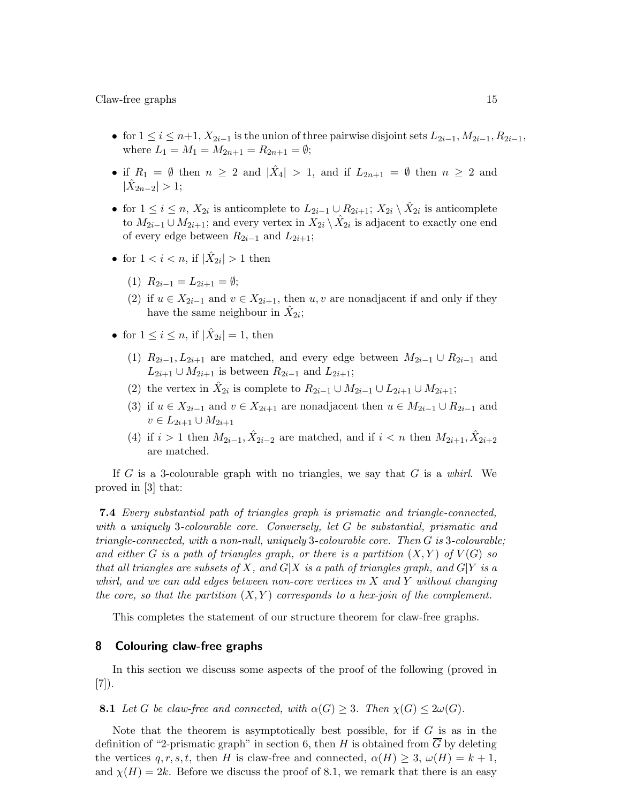- for  $1 \leq i \leq n+1$ ,  $X_{2i-1}$  is the union of three pairwise disjoint sets  $L_{2i-1}$ ,  $M_{2i-1}$ ,  $R_{2i-1}$ , where  $L_1 = M_1 = M_{2n+1} = R_{2n+1} = \emptyset;$
- if  $R_1 = \emptyset$  then  $n \geq 2$  and  $|\hat{X}_4| > 1$ , and if  $L_{2n+1} = \emptyset$  then  $n \geq 2$  and  $|\hat{X}_{2n-2}| > 1;$
- for  $1 \leq i \leq n$ ,  $X_{2i}$  is anticomplete to  $L_{2i-1} \cup R_{2i+1}$ ;  $X_{2i} \setminus \hat{X}_{2i}$  is anticomplete to  $M_{2i-1} \cup M_{2i+1}$ ; and every vertex in  $X_{2i} \setminus \hat{X}_{2i}$  is adjacent to exactly one end of every edge between  $R_{2i-1}$  and  $L_{2i+1}$ ;
- for  $1 < i < n$ , if  $|\hat{X}_{2i}| > 1$  then
	- (1)  $R_{2i-1} = L_{2i+1} = \emptyset;$
	- (2) if  $u \in X_{2i-1}$  and  $v \in X_{2i+1}$ , then  $u, v$  are nonadjacent if and only if they have the same neighbour in  $\hat{X}_{2i}$ ;
- for  $1 \leq i \leq n$ , if  $|\hat{X}_{2i}| = 1$ , then
	- (1)  $R_{2i-1}, L_{2i+1}$  are matched, and every edge between  $M_{2i-1} \cup R_{2i-1}$  and  $L_{2i+1} \cup M_{2i+1}$  is between  $R_{2i-1}$  and  $L_{2i+1}$ ;
	- (2) the vertex in  $\hat{X}_{2i}$  is complete to  $R_{2i-1} \cup M_{2i-1} \cup L_{2i+1} \cup M_{2i+1}$ ;
	- (3) if  $u \in X_{2i-1}$  and  $v \in X_{2i+1}$  are nonadjacent then  $u \in M_{2i-1} \cup R_{2i-1}$  and  $v \in L_{2i+1} \cup M_{2i+1}$
	- (4) if  $i > 1$  then  $M_{2i-1}, \hat{X}_{2i-2}$  are matched, and if  $i < n$  then  $M_{2i+1}, \hat{X}_{2i+2}$ are matched.

If G is a 3-colourable graph with no triangles, we say that G is a whirl. We proved in [3] that:

7.4 Every substantial path of triangles graph is prismatic and triangle-connected, with a uniquely 3-colourable core. Conversely, let G be substantial, prismatic and triangle-connected, with a non-null, uniquely 3-colourable core. Then  $G$  is 3-colourable; and either G is a path of triangles graph, or there is a partition  $(X, Y)$  of  $V(G)$  so that all triangles are subsets of X, and  $G|X$  is a path of triangles graph, and  $G|Y$  is a whirl, and we can add edges between non-core vertices in  $X$  and  $Y$  without changing the core, so that the partition  $(X, Y)$  corresponds to a hex-join of the complement.

This completes the statement of our structure theorem for claw-free graphs.

# 8 Colouring claw-free graphs

In this section we discuss some aspects of the proof of the following (proved in  $[7]$ .

**8.1** Let G be claw-free and connected, with  $\alpha(G) > 3$ . Then  $\chi(G) < 2\omega(G)$ .

Note that the theorem is asymptotically best possible, for if  $G$  is as in the definition of "2-prismatic graph" in section 6, then  $H$  is obtained from  $G$  by deleting the vertices  $q, r, s, t$ , then H is claw-free and connected,  $\alpha(H) \geq 3$ ,  $\omega(H) = k + 1$ , and  $\chi(H) = 2k$ . Before we discuss the proof of 8.1, we remark that there is an easy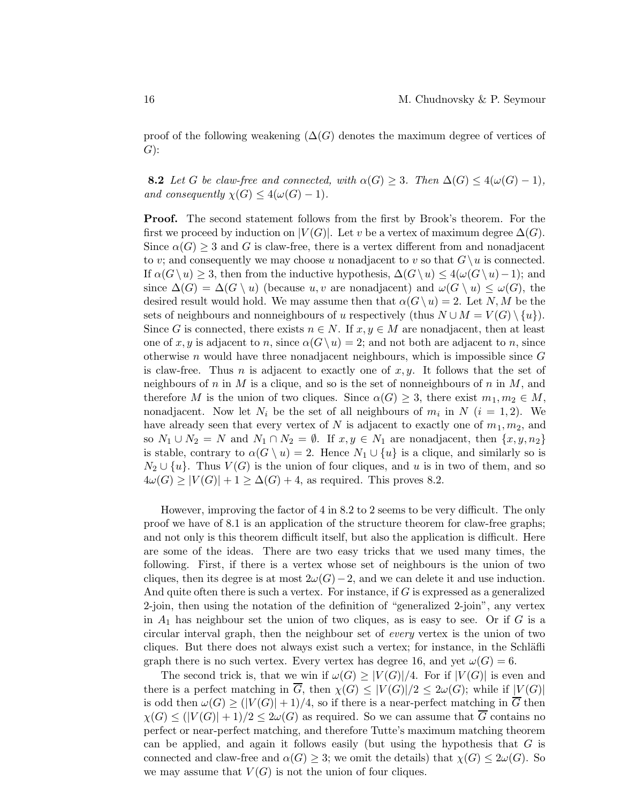proof of the following weakening  $(\Delta(G)$  denotes the maximum degree of vertices of  $G)$ :

**8.2** Let G be claw-free and connected, with  $\alpha(G) \geq 3$ . Then  $\Delta(G) \leq 4(\omega(G) - 1)$ , and consequently  $\chi(G) \leq 4(\omega(G) - 1)$ .

Proof. The second statement follows from the first by Brook's theorem. For the first we proceed by induction on  $|V(G)|$ . Let v be a vertex of maximum degree  $\Delta(G)$ . Since  $\alpha(G) \geq 3$  and G is claw-free, there is a vertex different from and nonadjacent to v; and consequently we may choose u nonadjacent to v so that  $G\setminus u$  is connected. If  $\alpha(G\setminus u)$  > 3, then from the inductive hypothesis,  $\Delta(G\setminus u) < 4(\omega(G\setminus u)-1)$ ; and since  $\Delta(G) = \Delta(G \setminus u)$  (because u, v are nonadjacent) and  $\omega(G \setminus u) \leq \omega(G)$ , the desired result would hold. We may assume then that  $\alpha(G\setminus u) = 2$ . Let N, M be the sets of neighbours and nonneighbours of u respectively (thus  $N \cup M = V(G) \setminus \{u\}$ ). Since G is connected, there exists  $n \in N$ . If  $x, y \in M$  are nonadjacent, then at least one of x, y is adjacent to n, since  $\alpha(G\setminus u) = 2$ ; and not both are adjacent to n, since otherwise n would have three nonadjacent neighbours, which is impossible since  $G$ is claw-free. Thus n is adjacent to exactly one of  $x, y$ . It follows that the set of neighbours of  $n$  in  $M$  is a clique, and so is the set of nonneighbours of  $n$  in  $M$ , and therefore M is the union of two cliques. Since  $\alpha(G) \geq 3$ , there exist  $m_1, m_2 \in M$ , nonadjacent. Now let  $N_i$  be the set of all neighbours of  $m_i$  in  $N$   $(i = 1, 2)$ . We have already seen that every vertex of N is adjacent to exactly one of  $m_1, m_2$ , and so  $N_1 \cup N_2 = N$  and  $N_1 \cap N_2 = \emptyset$ . If  $x, y \in N_1$  are nonadjacent, then  $\{x, y, n_2\}$ is stable, contrary to  $\alpha(G \setminus u) = 2$ . Hence  $N_1 \cup \{u\}$  is a clique, and similarly so is  $N_2 \cup \{u\}$ . Thus  $V(G)$  is the union of four cliques, and u is in two of them, and so  $4\omega(G) \geq |V(G)| + 1 \geq \Delta(G) + 4$ , as required. This proves 8.2.

However, improving the factor of 4 in 8.2 to 2 seems to be very difficult. The only proof we have of 8.1 is an application of the structure theorem for claw-free graphs; and not only is this theorem difficult itself, but also the application is difficult. Here are some of the ideas. There are two easy tricks that we used many times, the following. First, if there is a vertex whose set of neighbours is the union of two cliques, then its degree is at most  $2\omega(G)-2$ , and we can delete it and use induction. And quite often there is such a vertex. For instance, if  $G$  is expressed as a generalized 2-join, then using the notation of the definition of "generalized 2-join", any vertex in  $A_1$  has neighbour set the union of two cliques, as is easy to see. Or if G is a circular interval graph, then the neighbour set of every vertex is the union of two cliques. But there does not always exist such a vertex; for instance, in the Schläfli graph there is no such vertex. Every vertex has degree 16, and yet  $\omega(G) = 6$ .

The second trick is, that we win if  $\omega(G) \geq |V(G)|/4$ . For if  $|V(G)|$  is even and there is a perfect matching in  $\overline{G}$ , then  $\chi(G) \leq |V(G)|/2 \leq 2\omega(G)$ ; while if  $|V(G)|$ is odd then  $\omega(G) \ge (|V(G)| + 1)/4$ , so if there is a near-perfect matching in  $\overline{G}$  then  $\chi(G) \leq (|V(G)| + 1)/2 \leq 2\omega(G)$  as required. So we can assume that  $\overline{G}$  contains no perfect or near-perfect matching, and therefore Tutte's maximum matching theorem can be applied, and again it follows easily (but using the hypothesis that  $G$  is connected and claw-free and  $\alpha(G) \geq 3$ ; we omit the details) that  $\chi(G) \leq 2\omega(G)$ . So we may assume that  $V(G)$  is not the union of four cliques.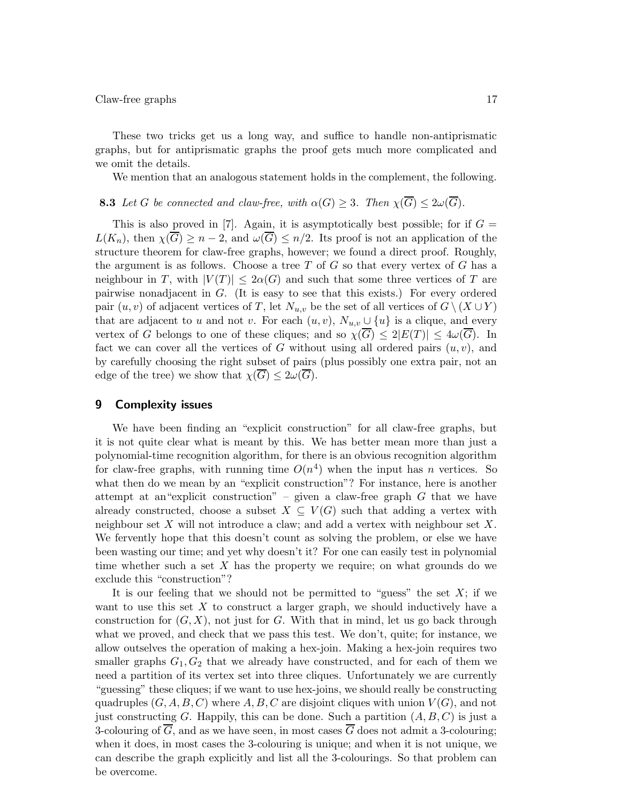These two tricks get us a long way, and suffice to handle non-antiprismatic graphs, but for antiprismatic graphs the proof gets much more complicated and we omit the details.

We mention that an analogous statement holds in the complement, the following.

# **8.3** Let G be connected and claw-free, with  $\alpha(G) \geq 3$ . Then  $\chi(\overline{G}) \leq 2\omega(\overline{G})$ .

This is also proved in [7]. Again, it is asymptotically best possible; for if  $G =$  $L(K_n)$ , then  $\chi(\overline{G}) \geq n-2$ , and  $\omega(\overline{G}) \leq n/2$ . Its proof is not an application of the structure theorem for claw-free graphs, however; we found a direct proof. Roughly, the argument is as follows. Choose a tree  $T$  of  $G$  so that every vertex of  $G$  has a neighbour in T, with  $|V(T)| \leq 2\alpha(G)$  and such that some three vertices of T are pairwise nonadjacent in G. (It is easy to see that this exists.) For every ordered pair  $(u, v)$  of adjacent vertices of T, let  $N_{u,v}$  be the set of all vertices of  $G \setminus (X \cup Y)$ that are adjacent to u and not v. For each  $(u, v)$ ,  $N_{u,v} \cup \{u\}$  is a clique, and every vertex of G belongs to one of these cliques; and so  $\chi(\overline{G}) \leq 2|E(T)| \leq 4\omega(\overline{G})$ . In fact we can cover all the vertices of G without using all ordered pairs  $(u, v)$ , and by carefully choosing the right subset of pairs (plus possibly one extra pair, not an edge of the tree) we show that  $\chi(\overline{G}) \leq 2\omega(\overline{G})$ .

## 9 Complexity issues

We have been finding an "explicit construction" for all claw-free graphs, but it is not quite clear what is meant by this. We has better mean more than just a polynomial-time recognition algorithm, for there is an obvious recognition algorithm for claw-free graphs, with running time  $O(n^4)$  when the input has n vertices. So what then do we mean by an "explicit construction"? For instance, here is another attempt at an "explicit construction" – given a claw-free graph  $G$  that we have already constructed, choose a subset  $X \subseteq V(G)$  such that adding a vertex with neighbour set  $X$  will not introduce a claw; and add a vertex with neighbour set  $X$ . We fervently hope that this doesn't count as solving the problem, or else we have been wasting our time; and yet why doesn't it? For one can easily test in polynomial time whether such a set  $X$  has the property we require; on what grounds do we exclude this "construction"?

It is our feeling that we should not be permitted to "guess" the set  $X$ ; if we want to use this set  $X$  to construct a larger graph, we should inductively have a construction for  $(G, X)$ , not just for G. With that in mind, let us go back through what we proved, and check that we pass this test. We don't, quite; for instance, we allow outselves the operation of making a hex-join. Making a hex-join requires two smaller graphs  $G_1, G_2$  that we already have constructed, and for each of them we need a partition of its vertex set into three cliques. Unfortunately we are currently "guessing" these cliques; if we want to use hex-joins, we should really be constructing quadruples  $(G, A, B, C)$  where  $A, B, C$  are disjoint cliques with union  $V(G)$ , and not just constructing G. Happily, this can be done. Such a partition  $(A, B, C)$  is just a 3-colouring of  $\overline{G}$ , and as we have seen, in most cases  $\overline{G}$  does not admit a 3-colouring; when it does, in most cases the 3-colouring is unique; and when it is not unique, we can describe the graph explicitly and list all the 3-colourings. So that problem can be overcome.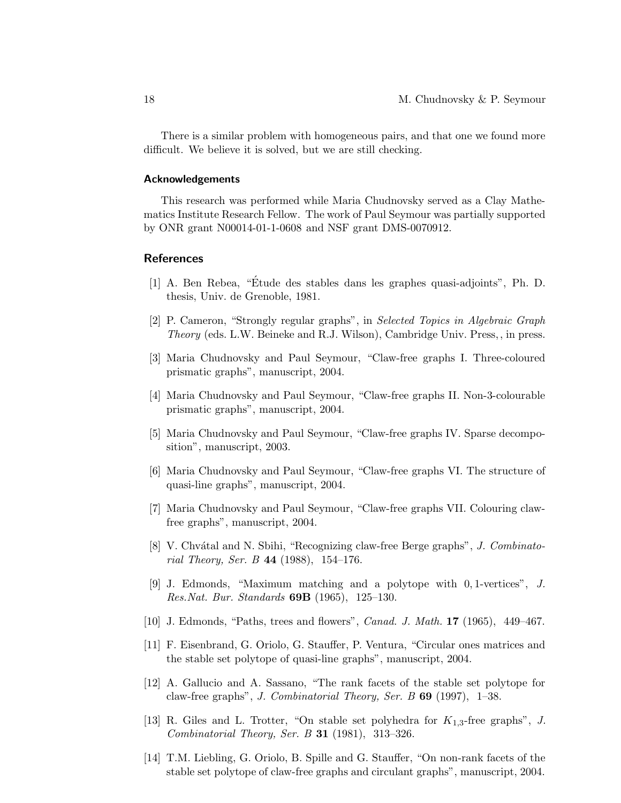There is a similar problem with homogeneous pairs, and that one we found more difficult. We believe it is solved, but we are still checking.

#### Acknowledgements

This research was performed while Maria Chudnovsky served as a Clay Mathematics Institute Research Fellow. The work of Paul Seymour was partially supported by ONR grant N00014-01-1-0608 and NSF grant DMS-0070912.

# References

- [1] A. Ben Rebea, "Étude des stables dans les graphes quasi-adjoints", Ph. D. thesis, Univ. de Grenoble, 1981.
- [2] P. Cameron, "Strongly regular graphs", in Selected Topics in Algebraic Graph Theory (eds. L.W. Beineke and R.J. Wilson), Cambridge Univ. Press,, in press.
- [3] Maria Chudnovsky and Paul Seymour, "Claw-free graphs I. Three-coloured prismatic graphs", manuscript, 2004.
- [4] Maria Chudnovsky and Paul Seymour, "Claw-free graphs II. Non-3-colourable prismatic graphs", manuscript, 2004.
- [5] Maria Chudnovsky and Paul Seymour, "Claw-free graphs IV. Sparse decomposition", manuscript, 2003.
- [6] Maria Chudnovsky and Paul Seymour, "Claw-free graphs VI. The structure of quasi-line graphs", manuscript, 2004.
- [7] Maria Chudnovsky and Paul Seymour, "Claw-free graphs VII. Colouring clawfree graphs", manuscript, 2004.
- [8] V. Chvátal and N. Sbihi, "Recognizing claw-free Berge graphs", J. Combinatorial Theory, Ser. B 44 (1988), 154–176.
- [9] J. Edmonds, "Maximum matching and a polytope with 0, 1-vertices", J. Res.Nat. Bur. Standards 69B (1965), 125–130.
- [10] J. Edmonds, "Paths, trees and flowers", Canad. J. Math. 17 (1965), 449–467.
- [11] F. Eisenbrand, G. Oriolo, G. Stauffer, P. Ventura, "Circular ones matrices and the stable set polytope of quasi-line graphs", manuscript, 2004.
- [12] A. Gallucio and A. Sassano, "The rank facets of the stable set polytope for claw-free graphs", J. Combinatorial Theory, Ser. B 69 (1997), 1–38.
- [13] R. Giles and L. Trotter, "On stable set polyhedra for  $K_{1,3}$ -free graphs", J. Combinatorial Theory, Ser. B 31 (1981), 313–326.
- [14] T.M. Liebling, G. Oriolo, B. Spille and G. Stauffer, "On non-rank facets of the stable set polytope of claw-free graphs and circulant graphs", manuscript, 2004.